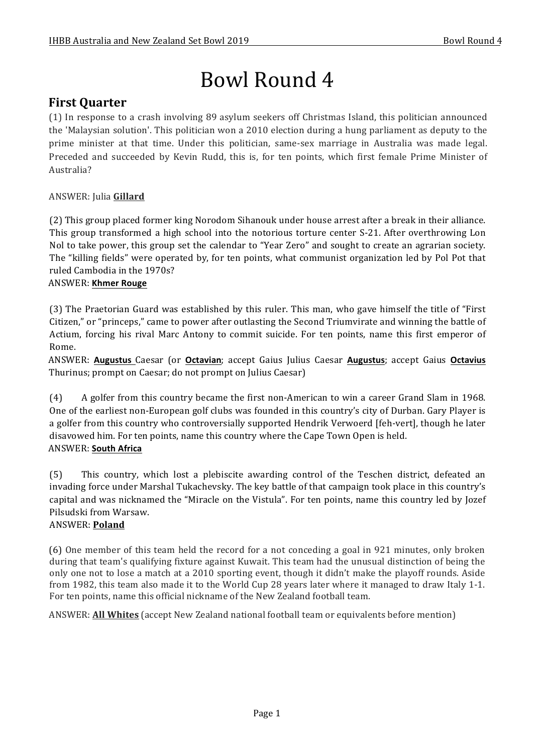# Bowl Round 4

# **First Ouarter**

(1) In response to a crash involving 89 asylum seekers off Christmas Island, this politician announced the 'Malaysian solution'. This politician won a 2010 election during a hung parliament as deputy to the prime minister at that time. Under this politician, same-sex marriage in Australia was made legal. Preceded and succeeded by Kevin Rudd, this is, for ten points, which first female Prime Minister of Australia?

### ANSWER: Julia **Gillard**

(2) This group placed former king Norodom Sihanouk under house arrest after a break in their alliance. This group transformed a high school into the notorious torture center S-21. After overthrowing Lon Nol to take power, this group set the calendar to "Year Zero" and sought to create an agrarian society. The "killing fields" were operated by, for ten points, what communist organization led by Pol Pot that ruled Cambodia in the 1970s?

### ANSWER: **Khmer Rouge**

(3) The Praetorian Guard was established by this ruler. This man, who gave himself the title of "First" Citizen," or "princeps," came to power after outlasting the Second Triumvirate and winning the battle of Actium, forcing his rival Marc Antony to commit suicide. For ten points, name this first emperor of Rome.

ANSWER: **Augustus** Caesar (or **Octavian**; accept Gaius Julius Caesar **Augustus**; accept Gaius **Octavius** Thurinus; prompt on Caesar; do not prompt on Julius Caesar)

(4) A golfer from this country became the first non-American to win a career Grand Slam in 1968. One of the earliest non-European golf clubs was founded in this country's city of Durban. Gary Player is a golfer from this country who controversially supported Hendrik Verwoerd [feh-vert], though he later disavowed him. For ten points, name this country where the Cape Town Open is held.

### ANSWER: **South Africa**

(5) This country, which lost a plebiscite awarding control of the Teschen district, defeated an invading force under Marshal Tukachevsky. The key battle of that campaign took place in this country's capital and was nicknamed the "Miracle on the Vistula". For ten points, name this country led by Jozef Pilsudski from Warsaw.

### ANSWER: **Poland**

(6) One member of this team held the record for a not conceding a goal in 921 minutes, only broken during that team's qualifying fixture against Kuwait. This team had the unusual distinction of being the only one not to lose a match at a 2010 sporting event, though it didn't make the playoff rounds. Aside from 1982, this team also made it to the World Cup 28 years later where it managed to draw Italy 1-1. For ten points, name this official nickname of the New Zealand football team.

ANSWER: **All Whites** (accept New Zealand national football team or equivalents before mention)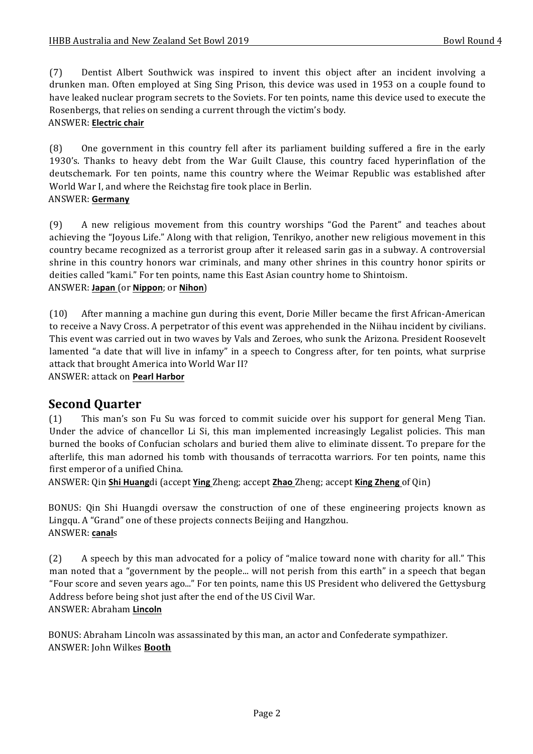(7) Dentist Albert Southwick was inspired to invent this object after an incident involving a drunken man. Often employed at Sing Sing Prison, this device was used in 1953 on a couple found to have leaked nuclear program secrets to the Soviets. For ten points, name this device used to execute the Rosenbergs, that relies on sending a current through the victim's body.

### ANSWER: **Electric chair**

(8) One government in this country fell after its parliament building suffered a fire in the early 1930's. Thanks to heavy debt from the War Guilt Clause, this country faced hyperinflation of the deutschemark. For ten points, name this country where the Weimar Republic was established after World War I, and where the Reichstag fire took place in Berlin. ANSWER: **Germany**

## (9) A new religious movement from this country worships "God the Parent" and teaches about achieving the "Joyous Life." Along with that religion, Tenrikyo, another new religious movement in this country became recognized as a terrorist group after it released sarin gas in a subway. A controversial shrine in this country honors war criminals, and many other shrines in this country honor spirits or deities called "kami." For ten points, name this East Asian country home to Shintoism.

### ANSWER: **Japan** (or **Nippon**; or **Nihon**)

(10) After manning a machine gun during this event, Dorie Miller became the first African-American to receive a Navy Cross. A perpetrator of this event was apprehended in the Niihau incident by civilians. This event was carried out in two waves by Vals and Zeroes, who sunk the Arizona. President Roosevelt lamented "a date that will live in infamy" in a speech to Congress after, for ten points, what surprise attack that brought America into World War II?

ANSWER: attack on **Pearl Harbor**

### **Second Quarter**

(1) This man's son Fu Su was forced to commit suicide over his support for general Meng Tian. Under the advice of chancellor Li Si, this man implemented increasingly Legalist policies. This man burned the books of Confucian scholars and buried them alive to eliminate dissent. To prepare for the afterlife, this man adorned his tomb with thousands of terracotta warriors. For ten points, name this first emperor of a unified China.

ANSWER: Qin Shi Huangdi (accept Ying Zheng; accept Zhao Zheng; accept King Zheng of Qin)

BONUS: Qin Shi Huangdi oversaw the construction of one of these engineering projects known as Lingqu. A "Grand" one of these projects connects Beijing and Hangzhou. ANSWER: **canal**s

(2) A speech by this man advocated for a policy of "malice toward none with charity for all." This man noted that a "government by the people... will not perish from this earth" in a speech that began "Four score and seven years ago..." For ten points, name this US President who delivered the Gettysburg Address before being shot just after the end of the US Civil War. ANSWER: Abraham **Lincoln**

BONUS: Abraham Lincoln was assassinated by this man, an actor and Confederate sympathizer. ANSWER: John Wilkes **Booth**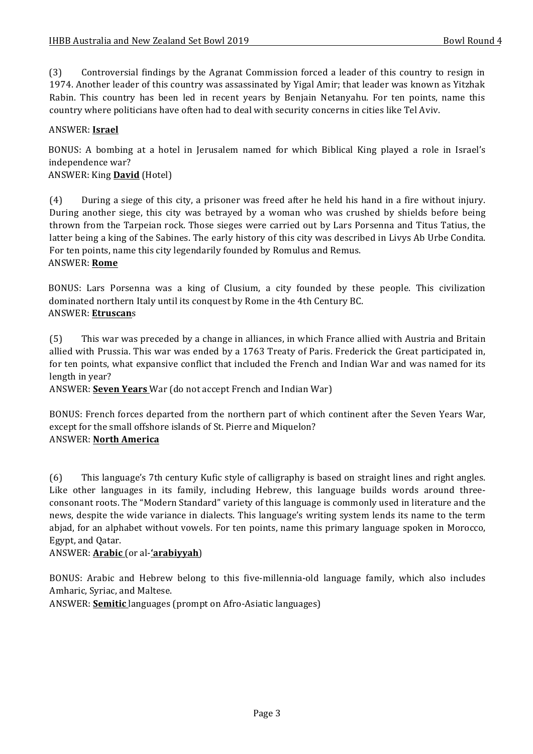(3) Controversial findings by the Agranat Commission forced a leader of this country to resign in 1974. Another leader of this country was assassinated by Yigal Amir; that leader was known as Yitzhak Rabin. This country has been led in recent years by Benjain Netanyahu. For ten points, name this country where politicians have often had to deal with security concerns in cities like Tel Aviv.

### ANSWER: **Israel**

BONUS: A bombing at a hotel in Jerusalem named for which Biblical King played a role in Israel's independence war?

### ANSWER: King **David** (Hotel)

(4) During a siege of this city, a prisoner was freed after he held his hand in a fire without injury. During another siege, this city was betrayed by a woman who was crushed by shields before being thrown from the Tarpeian rock. Those sieges were carried out by Lars Porsenna and Titus Tatius, the latter being a king of the Sabines. The early history of this city was described in Livys Ab Urbe Condita. For ten points, name this city legendarily founded by Romulus and Remus. ANSWER: **Rome**

BONUS: Lars Porsenna was a king of Clusium, a city founded by these people. This civilization dominated northern Italy until its conquest by Rome in the 4th Century BC. ANSWER: **Etruscan**s

(5) This war was preceded by a change in alliances, in which France allied with Austria and Britain allied with Prussia. This war was ended by a 1763 Treaty of Paris. Frederick the Great participated in, for ten points, what expansive conflict that included the French and Indian War and was named for its length in year?

ANSWER: **Seven Years** War (do not accept French and Indian War)

BONUS: French forces departed from the northern part of which continent after the Seven Years War, except for the small offshore islands of St. Pierre and Miquelon? ANSWER: **North America**

(6) This language's 7th century Kufic style of calligraphy is based on straight lines and right angles. Like other languages in its family, including Hebrew, this language builds words around threeconsonant roots. The "Modern Standard" variety of this language is commonly used in literature and the news, despite the wide variance in dialects. This language's writing system lends its name to the term abjad, for an alphabet without vowels. For ten points, name this primary language spoken in Morocco, Egypt, and Qatar.

### ANSWER: **Arabic** (or al-**'arabiyyah**)

BONUS: Arabic and Hebrew belong to this five-millennia-old language family, which also includes Amharic, Syriac, and Maltese.

ANSWER: **Semitic** languages (prompt on Afro-Asiatic languages)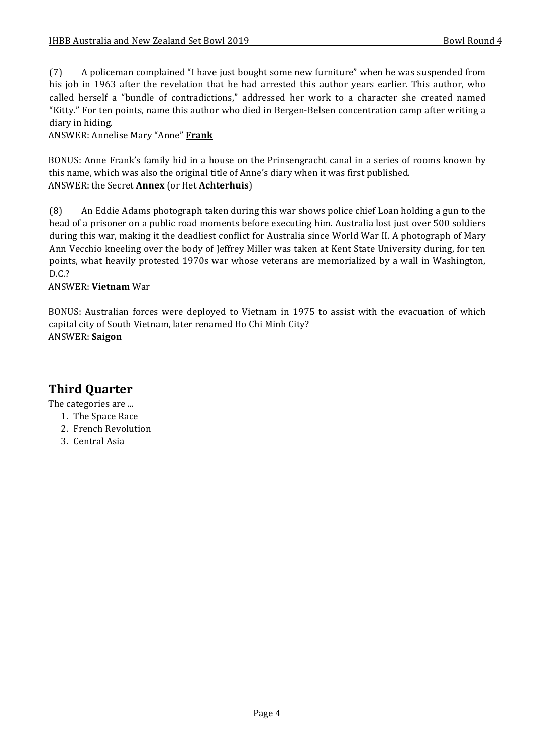(7) A policeman complained "I have just bought some new furniture" when he was suspended from his job in 1963 after the revelation that he had arrested this author years earlier. This author, who called herself a "bundle of contradictions," addressed her work to a character she created named "Kitty." For ten points, name this author who died in Bergen-Belsen concentration camp after writing a diary in hiding.

ANSWER: Annelise Mary "Anne" **Frank**

BONUS: Anne Frank's family hid in a house on the Prinsengracht canal in a series of rooms known by this name, which was also the original title of Anne's diary when it was first published. ANSWER: the Secret **Annex** (or Het **Achterhuis**)

(8) An Eddie Adams photograph taken during this war shows police chief Loan holding a gun to the head of a prisoner on a public road moments before executing him. Australia lost just over 500 soldiers during this war, making it the deadliest conflict for Australia since World War II. A photograph of Mary Ann Vecchio kneeling over the body of Jeffrey Miller was taken at Kent State University during, for ten points, what heavily protested 1970s war whose veterans are memorialized by a wall in Washington, D.C.?

### ANSWER: **Vietnam** War

BONUS: Australian forces were deployed to Vietnam in 1975 to assist with the evacuation of which capital city of South Vietnam, later renamed Ho Chi Minh City? ANSWER: **Saigon**

# **Third Quarter**

The categories are ...

- 1. The Space Race
- 2. French Revolution
- 3. Central Asia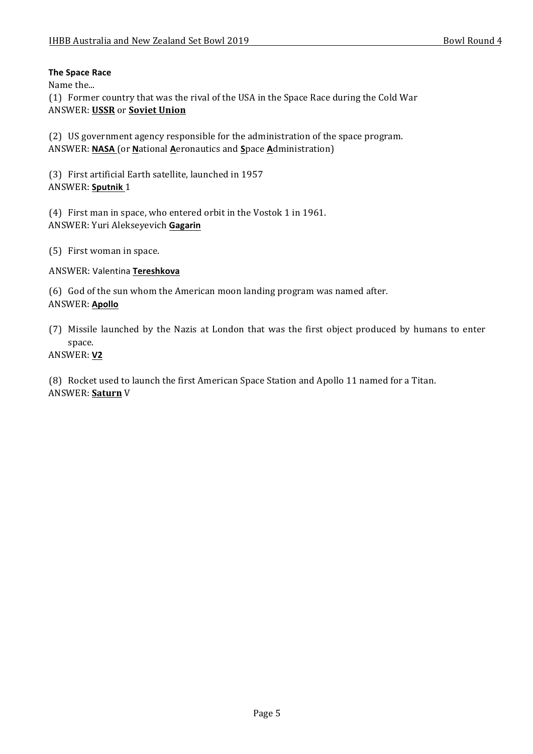### **The Space Race**

Name the...

(1) Former country that was the rival of the USA in the Space Race during the Cold War ANSWER: USSR or Soviet Union

(2) US government agency responsible for the administration of the space program. ANSWER: **NASA** (or **N**ational **A**eronautics and **S**pace **A**dministration)

(3) First artificial Earth satellite, launched in 1957 ANSWER: Sputnik 1

(4) First man in space, who entered orbit in the Vostok 1 in 1961. ANSWER: Yuri Alekseyevich **Gagarin**

(5) First woman in space.

### ANSWER: Valentina **Tereshkova**

(6) God of the sun whom the American moon landing program was named after. ANSWER: **Apollo**

(7) Missile launched by the Nazis at London that was the first object produced by humans to enter space.

### ANSWER: **V2**

(8) Rocket used to launch the first American Space Station and Apollo 11 named for a Titan. ANSWER: **Saturn** V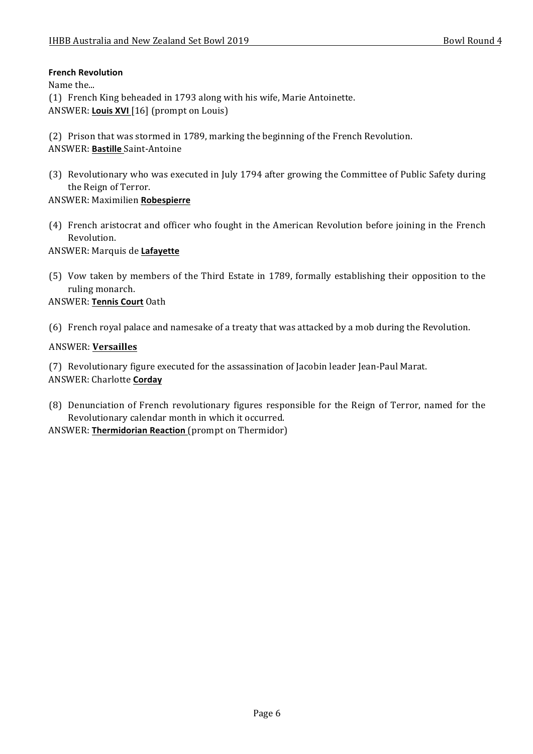### **French Revolution**

Name the...

(1) French King beheaded in 1793 along with his wife, Marie Antoinette. ANSWER: **Louis XVI** [16] (prompt on Louis)

(2) Prison that was stormed in 1789, marking the beginning of the French Revolution. ANSWER: **Bastille** Saint-Antoine

(3) Revolutionary who was executed in July 1794 after growing the Committee of Public Safety during the Reign of Terror.

### ANSWER: Maximilien **Robespierre**

(4) French aristocrat and officer who fought in the American Revolution before joining in the French Revolution.

ANSWER: Marquis de **Lafayette**

(5) Vow taken by members of the Third Estate in 1789, formally establishing their opposition to the ruling monarch.

### ANSWER: **Tennis Court** Oath

(6) French royal palace and namesake of a treaty that was attacked by a mob during the Revolution.

### ANSWER: **Versailles**

(7) Revolutionary figure executed for the assassination of Jacobin leader Jean-Paul Marat. ANSWER: Charlotte **Corday**

(8) Denunciation of French revolutionary figures responsible for the Reign of Terror, named for the Revolutionary calendar month in which it occurred.

ANSWER: Thermidorian Reaction (prompt on Thermidor)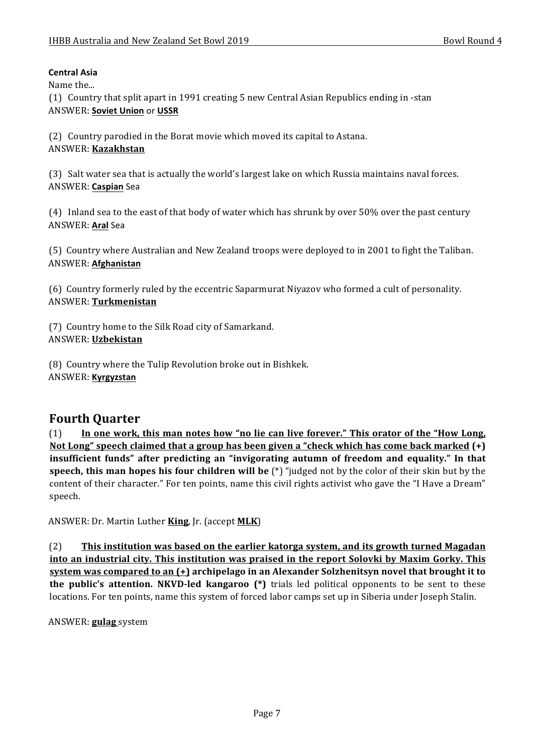### **Central Asia**

Name the...

(1) Country that split apart in 1991 creating 5 new Central Asian Republics ending in -stan ANSWER: **Soviet Union** or **USSR**

(2) Country parodied in the Borat movie which moved its capital to Astana. ANSWER: **Kazakhstan**

(3) Salt water sea that is actually the world's largest lake on which Russia maintains naval forces. ANSWER: **Caspian** Sea

(4) Inland sea to the east of that body of water which has shrunk by over 50% over the past century ANSWER: **Aral** Sea

(5) Country where Australian and New Zealand troops were deployed to in 2001 to fight the Taliban. ANSWER: **Afghanistan**

(6) Country formerly ruled by the eccentric Saparmurat Niyazov who formed a cult of personality. ANSWER: **Turkmenistan**

(7) Country home to the Silk Road city of Samarkand. ANSWER: **Uzbekistan**

(8) Country where the Tulip Revolution broke out in Bishkek. ANSWER: **Kyrgyzstan**

## **Fourth Quarter**

(1) In one work, this man notes how "no lie can live forever." This orator of the "How Long, Not Long" speech claimed that a group has been given a "check which has come back marked (+) insufficient funds" after predicting an "invigorating autumn of freedom and equality." In that **speech, this man hopes his four children will be** (\*) "judged not by the color of their skin but by the content of their character." For ten points, name this civil rights activist who gave the "I Have a Dream" speech.

ANSWER: Dr. Martin Luther **King**, Jr. (accept **MLK**)

(2) **This institution was based on the earlier katorga system, and its growth turned Magadan** into an industrial city. This institution was praised in the report Solovki by Maxim Gorky. This **system was compared to an (+)** archipelago in an Alexander Solzhenitsyn novel that brought it to **the public's attention. NKVD-led kangaroo** (\*) trials led political opponents to be sent to these locations. For ten points, name this system of forced labor camps set up in Siberia under Joseph Stalin.

ANSWER: **gulag** system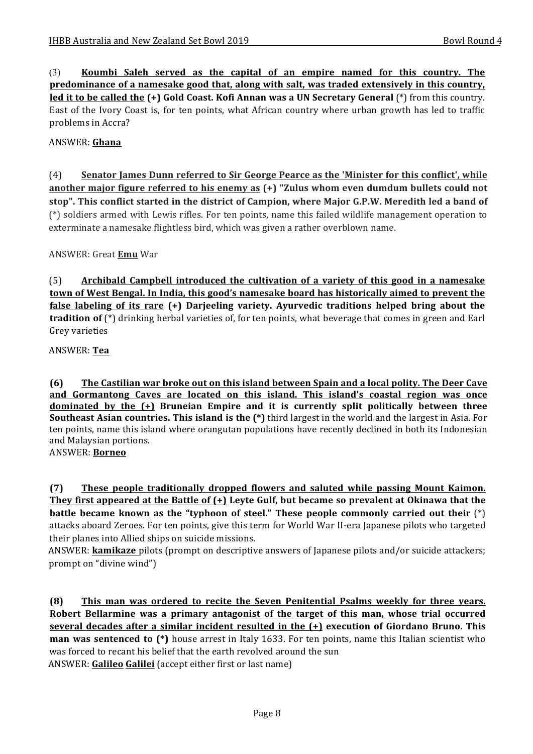(3) Koumbi Saleh served as the capital of an empire named for this country. The **predominance of a namesake good that, along with salt, was traded extensively in this country, led it to be called the (+) Gold Coast. Kofi Annan was a UN Secretary General** (\*) from this country. East of the Ivory Coast is, for ten points, what African country where urban growth has led to traffic problems in Accra?

### ANSWER: **Ghana**

(4) Senator James Dunn referred to Sir George Pearce as the 'Minister for this conflict', while another major figure referred to his enemy as (+) "Zulus whom even dumdum bullets could not stop". This conflict started in the district of Campion, where Major G.P.W. Meredith led a band of (\*) soldiers armed with Lewis rifles. For ten points, name this failed wildlife management operation to exterminate a namesake flightless bird, which was given a rather overblown name.

ANSWER: Great **Emu** War

(5) Archibald Campbell introduced the cultivation of a variety of this good in a namesake **town of West Bengal. In India, this good's namesake board has historically aimed to prevent the false labeling of its rare (+)** Darjeeling variety. Ayurvedic traditions helped bring about the **tradition of** (\*) drinking herbal varieties of, for ten points, what beverage that comes in green and Earl Grey varieties

ANSWER: **Tea**

**(6)** The Castilian war broke out on this island between Spain and a local polity. The Deer Cave and Gormantong Caves are located on this island. This island's coastal region was once **dominated by the (+)** Bruneian Empire and it is currently split politically between three **Southeast Asian countries. This island is the (\*)** third largest in the world and the largest in Asia. For ten points, name this island where orangutan populations have recently declined in both its Indonesian and Malaysian portions.

ANSWER: **Borneo**

**(7)** These people traditionally dropped flowers and saluted while passing Mount Kaimon. They first appeared at the Battle of  $(+)$  Leyte Gulf, but became so prevalent at Okinawa that the **battle became known as the "typhoon of steel." These people commonly carried out their** (\*) attacks aboard Zeroes. For ten points, give this term for World War II-era Japanese pilots who targeted their planes into Allied ships on suicide missions.

ANSWER: **kamikaze** pilots (prompt on descriptive answers of Japanese pilots and/or suicide attackers; prompt on "divine wind")

**(8)** This man was ordered to recite the Seven Penitential Psalms weekly for three years. **Robert Bellarmine was a primary antagonist of the target of this man, whose trial occurred <u>several decades after a similar incident resulted in the**  $(+)$  **execution of Giordano Bruno. This**</u> **man** was sentenced to (\*) house arrest in Italy 1633. For ten points, name this Italian scientist who was forced to recant his belief that the earth revolved around the sun ANSWER: Galileo Galilei (accept either first or last name)